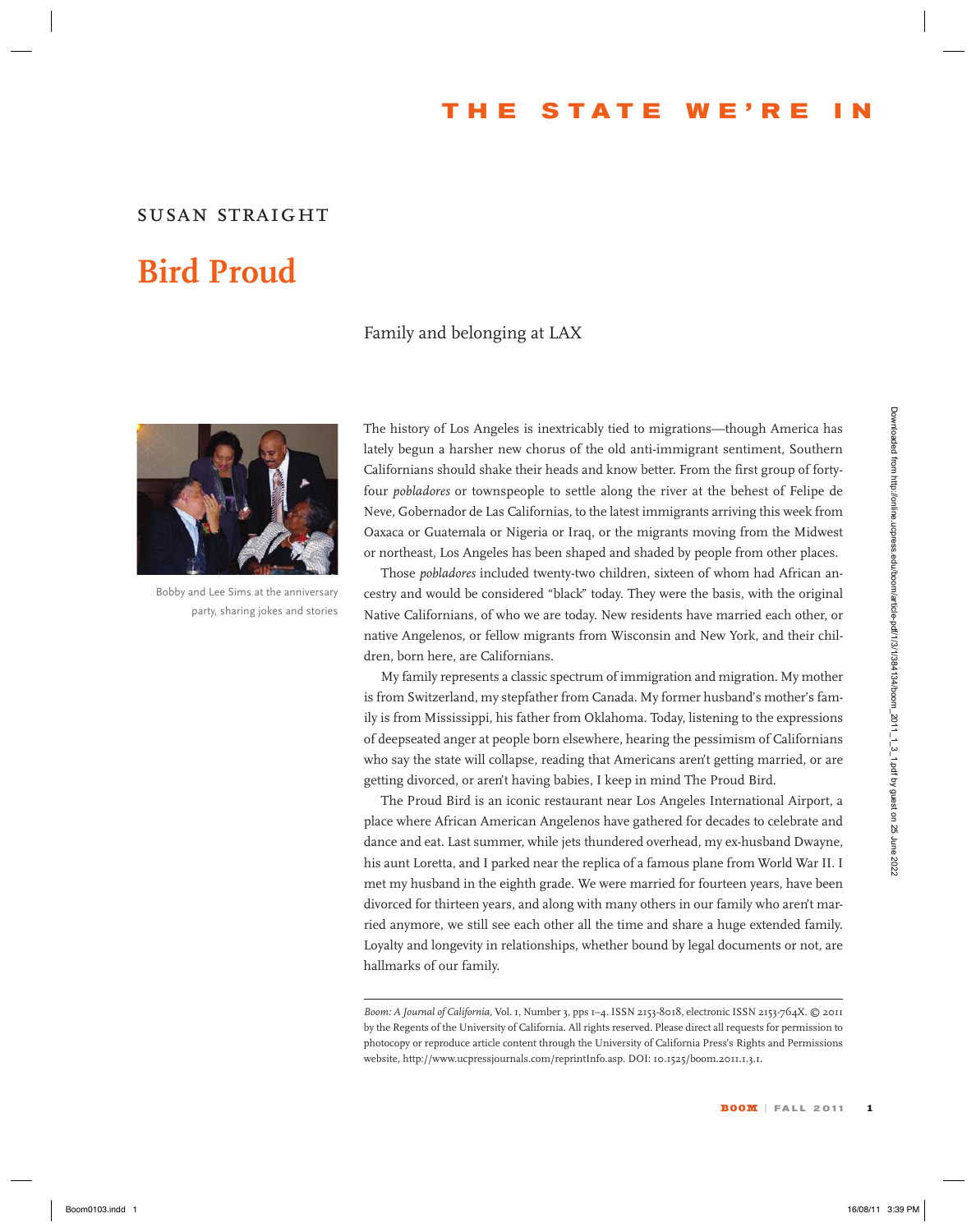### **T he S tate W e ' re I n**

#### *susan straight*

# **Bird Proud**

#### Family and belonging at LAX



Bobby and Lee Sims at the anniversary party, sharing jokes and stories

The history of Los Angeles is inextricably tied to migrations—though America has lately begun a harsher new chorus of the old anti-immigrant sentiment, Southern Californians should shake their heads and know better. From the first group of fortyfour *pobladores* or townspeople to settle along the river at the behest of Felipe de Neve, Gobernador de Las Californias, to the latest immigrants arriving this week from Oaxaca or Guatemala or Nigeria or Iraq, or the migrants moving from the Midwest or northeast, Los Angeles has been shaped and shaded by people from other places.

Those *pobladores* included twenty-two children, sixteen of whom had African ancestry and would be considered "black" today. They were the basis, with the original Native Californians, of who we are today. New residents have married each other, or native Angelenos, or fellow migrants from Wisconsin and New York, and their children, born here, are Californians.

My family represents a classic spectrum of immigration and migration. My mother is from Switzerland, my stepfather from Canada. My former husband's mother's family is from Mississippi, his father from Oklahoma. Today, listening to the expressions of deepseated anger at people born elsewhere, hearing the pessimism of Californians who say the state will collapse, reading that Americans aren't getting married, or are getting divorced, or aren't having babies, I keep in mind The Proud Bird.

The Proud Bird is an iconic restaurant near Los Angeles International Airport, a place where African American Angelenos have gathered for decades to celebrate and dance and eat. Last summer, while jets thundered overhead, my ex-husband Dwayne, his aunt Loretta, and I parked near the replica of a famous plane from World War II. I met my husband in the eighth grade. We were married for fourteen years, have been divorced for thirteen years, and along with many others in our family who aren't married anymore, we still see each other all the time and share a huge extended family. Loyalty and longevity in relationships, whether bound by legal documents or not, are hallmarks of our family. The higher product is enordered from high density of the sympath spectrum is a controlled from the sympath controlled from the density and product the sympath controlled from the sympath controlled from the sympath contro

*Boom: A Journal of California,* Vol. 1, Number 3, pps 1–4. ISSN 2153-8018, electronic ISSN 2153-764X. © 2011 by the Regents of the University of California. All rights reserved. Please direct all requests for permission to photocopy or reproduce article content through the University of California Press's Rights and Permissions website, http://www.ucpressjournals.com/reprintInfo.asp. DOI: 10.1525/boom.2011.1.3.1.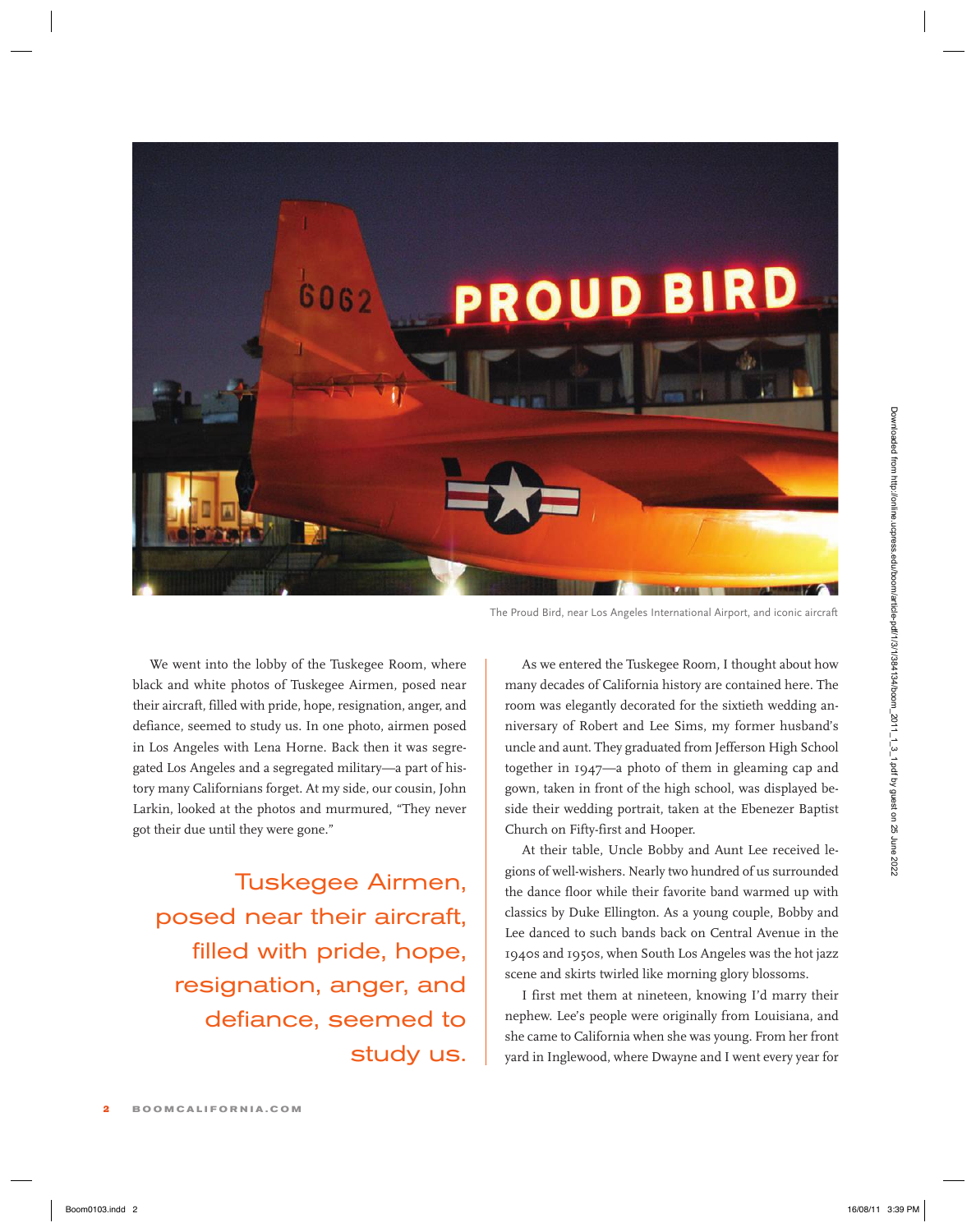

The Proud Bird, near Los Angeles International Airport, and iconic aircraft

We went into the lobby of the Tuskegee Room, where black and white photos of Tuskegee Airmen, posed near their aircraft, filled with pride, hope, resignation, anger, and defiance, seemed to study us. In one photo, airmen posed in Los Angeles with Lena Horne. Back then it was segregated Los Angeles and a segregated military—a part of history many Californians forget. At my side, our cousin, John Larkin, looked at the photos and murmured, "They never got their due until they were gone."

Tuskegee Airmen, posed near their aircraft, filled with pride, hope, resignation, anger, and defiance, seemed to study us.

As we entered the Tuskegee Room, I thought about how many decades of California history are contained here. The room was elegantly decorated for the sixtieth wedding anniversary of Robert and Lee Sims, my former husband's uncle and aunt. They graduated from Jefferson High School together in 1947—a photo of them in gleaming cap and gown, taken in front of the high school, was displayed beside their wedding portrait, taken at the Ebenezer Baptist Church on Fifty-first and Hooper.

At their table, Uncle Bobby and Aunt Lee received legions of well-wishers. Nearly two hundred of us surrounded the dance floor while their favorite band warmed up with classics by Duke Ellington. As a young couple, Bobby and Lee danced to such bands back on Central Avenue in the 1940s and 1950s, when South Los Angeles was the hot jazz scene and skirts twirled like morning glory blossoms.

I first met them at nineteen, knowing I'd marry their nephew. Lee's people were originally from Louisiana, and she came to California when she was young. From her front yard in Inglewood, where Dwayne and I went every year for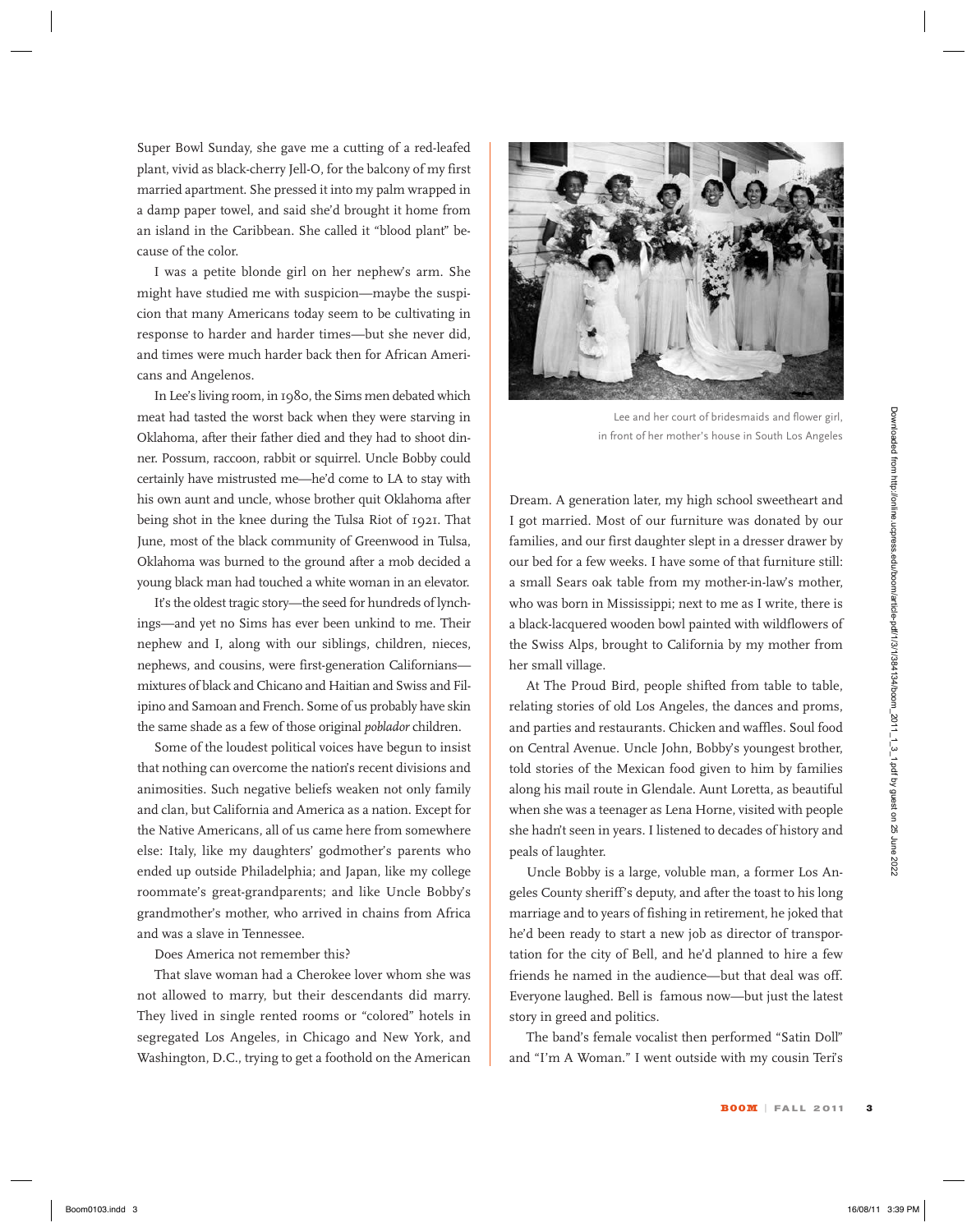Super Bowl Sunday, she gave me a cutting of a red-leafed plant, vivid as black-cherry Jell-O, for the balcony of my first married apartment. She pressed it into my palm wrapped in a damp paper towel, and said she'd brought it home from an island in the Caribbean. She called it "blood plant" because of the color.

I was a petite blonde girl on her nephew's arm. She might have studied me with suspicion—maybe the suspicion that many Americans today seem to be cultivating in response to harder and harder times—but she never did, and times were much harder back then for African Americans and Angelenos.

In Lee's living room, in 1980, the Sims men debated which meat had tasted the worst back when they were starving in Oklahoma, after their father died and they had to shoot dinner. Possum, raccoon, rabbit or squirrel. Uncle Bobby could certainly have mistrusted me—he'd come to LA to stay with his own aunt and uncle, whose brother quit Oklahoma after being shot in the knee during the Tulsa Riot of 1921. That June, most of the black community of Greenwood in Tulsa, Oklahoma was burned to the ground after a mob decided a young black man had touched a white woman in an elevator.

It's the oldest tragic story—the seed for hundreds of lynchings—and yet no Sims has ever been unkind to me. Their nephew and I, along with our siblings, children, nieces, nephews, and cousins, were first-generation Californians mixtures of black and Chicano and Haitian and Swiss and Filipino and Samoan and French. Some of us probably have skin the same shade as a few of those original *poblador* children.

Some of the loudest political voices have begun to insist that nothing can overcome the nation's recent divisions and animosities. Such negative beliefs weaken not only family and clan, but California and America as a nation. Except for the Native Americans, all of us came here from somewhere else: Italy, like my daughters' godmother's parents who ended up outside Philadelphia; and Japan, like my college roommate's great-grandparents; and like Uncle Bobby's grandmother's mother, who arrived in chains from Africa and was a slave in Tennessee. Book and the symmetric state when the symmetric is a set of so contribute the symmetric state of the symmetric or the symmetric state of the symmetric or the symmetric or the symmetric or the symmetric or the symmetric or

#### Does America not remember this?

That slave woman had a Cherokee lover whom she was not allowed to marry, but their descendants did marry. They lived in single rented rooms or "colored" hotels in segregated Los Angeles, in Chicago and New York, and Washington, D.C., trying to get a foothold on the American



Lee and her court of bridesmaids and flower girl, in front of her mother's house in South Los Angeles

Dream. A generation later, my high school sweetheart and I got married. Most of our furniture was donated by our families, and our first daughter slept in a dresser drawer by our bed for a few weeks. I have some of that furniture still: a small Sears oak table from my mother-in-law's mother, who was born in Mississippi; next to me as I write, there is a black-lacquered wooden bowl painted with wildflowers of the Swiss Alps, brought to California by my mother from her small village.

At The Proud Bird, people shifted from table to table, relating stories of old Los Angeles, the dances and proms, and parties and restaurants. Chicken and waffles. Soul food on Central Avenue. Uncle John, Bobby's youngest brother, told stories of the Mexican food given to him by families along his mail route in Glendale. Aunt Loretta, as beautiful when she was a teenager as Lena Horne, visited with people she hadn't seen in years. I listened to decades of history and peals of laughter.

Uncle Bobby is a large, voluble man, a former Los Angeles County sheriff's deputy, and after the toast to his long marriage and to years of fishing in retirement, he joked that he'd been ready to start a new job as director of transportation for the city of Bell, and he'd planned to hire a few friends he named in the audience—but that deal was off. Everyone laughed. Bell is famous now—but just the latest story in greed and politics.

The band's female vocalist then performed "Satin Doll" and "I'm A Woman." I went outside with my cousin Teri's